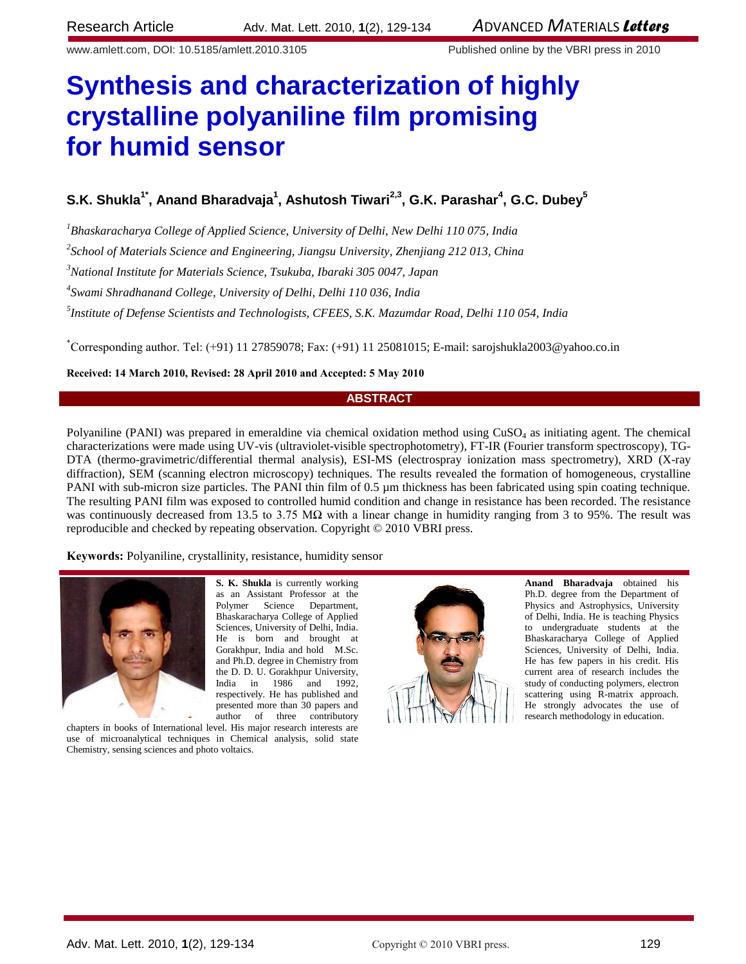www.amlett.com, DOI: 10.5185/amlett.2010.3105 Published online by the VBRI press in 2010

# **Synthesis and characterization of highly crystalline polyaniline film promising for humid sensor**

## $S$ .K. Shukla<sup>1\*</sup>, Anand Bharadvaja<sup>1</sup>, Ashutosh Tiwari<sup>2,3</sup>, G.K. Parashar<sup>4</sup>, G.C. Dubey<sup>5</sup>

*<sup>1</sup>Bhaskaracharya College of Applied Science, University of Delhi, New Delhi 110 075, India*

*2 School of Materials Science and Engineering, Jiangsu University, Zhenjiang 212 013, China*

*<sup>3</sup>National Institute for Materials Science, Tsukuba, Ibaraki 305 0047, Japan*

*4 Swami Shradhanand College, University of Delhi, Delhi 110 036, India*

*5 Institute of Defense Scientists and Technologists, CFEES, S.K. Mazumdar Road, Delhi 110 054, India*

\*Corresponding author. Tel: (+91) 11 27859078; Fax: (+91) 11 25081015; E-mail[: sarojshukla2003@yahoo.co.in](mailto:sarojshukla2003@yahoo.co.in)

**Received: 14 March 2010, Revised: 28 April 2010 and Accepted: 5 May 2010**

#### **ABSTRACT**

Polyaniline (PANI) was prepared in emeraldine via chemical oxidation method using  $CuSO<sub>4</sub>$  as initiating agent. The chemical characterizations were made using UV-vis (ultraviolet-visible spectrophotometry), FT-IR (Fourier transform spectroscopy), TG-DTA (thermo-gravimetric/differential thermal analysis), ESI-MS (electrospray ionization mass spectrometry), XRD (X-ray diffraction), SEM (scanning electron microscopy) techniques. The results revealed the formation of homogeneous, crystalline PANI with sub-micron size particles. The PANI thin film of 0.5 µm thickness has been fabricated using spin coating technique. The resulting PANI film was exposed to controlled humid condition and change in resistance has been recorded. The resistance was continuously decreased from 13.5 to 3.75 M $\Omega$  with a linear change in humidity ranging from 3 to 95%. The result was reproducible and checked by repeating observation. Copyright © 2010 VBRI press.

**Keywords:** Polyaniline, crystallinity, resistance, humidity sensor

use of microanalytical techniques in Chemical analysis, solid state



**S. K. Shukla** is currently working as an Assistant Professor at the Polymer Science Department, Bhaskaracharya College of Applied Sciences, University of Delhi, India. He is born and brought at Gorakhpur, India and hold M.Sc. and Ph.D. degree in Chemistry from the D. D. U. Gorakhpur University, India in 1986 and 1992, respectively. He has published and presented more than 30 papers and author of three contributory chapters in books of International level. His major research interests are

**Anand Bharadvaja** obtained his Ph.D. degree from the Department of Physics and Astrophysics, University of Delhi, India. He is teaching Physics to undergraduate students at the Bhaskaracharya College of Applied Sciences, University of Delhi, India. He has few papers in his credit. His current area of research includes the study of conducting polymers, electron scattering using R-matrix approach. He strongly advocates the use of research methodology in education.

Chemistry, sensing sciences and photo voltaics.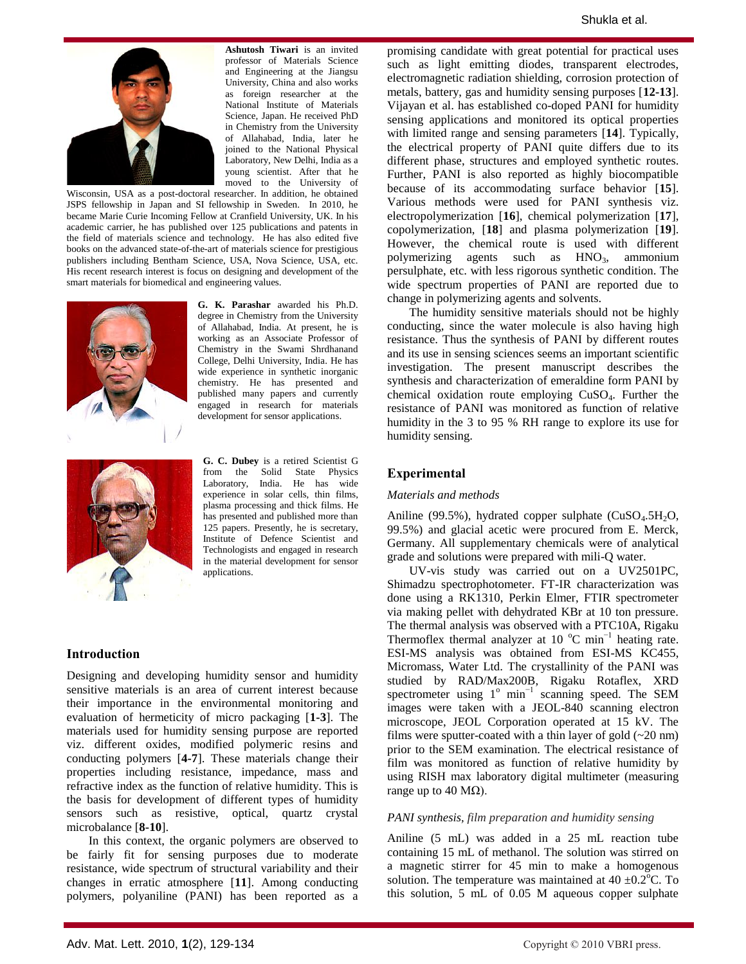

**Ashutosh Tiwari** is an invited professor of Materials Science and Engineering at the Jiangsu University, China and also works as foreign researcher at the National Institute of Materials Science, Japan. He received PhD in Chemistry from the University of Allahabad, India, later he joined to the National Physical Laboratory, New Delhi, India as a young scientist. After that he moved to the University of

Wisconsin, USA as a post-doctoral researcher. In addition, he obtained JSPS fellowship in Japan and SI fellowship in Sweden. In 2010, he became Marie Curie Incoming Fellow at Cranfield University, UK. In his academic carrier, he has published over 125 publications and patents in the field of materials science and technology. He has also edited five books on the advanced state-of-the-art of materials science for prestigious publishers including Bentham Science, USA, Nova Science, USA, etc. His recent research interest is focus on designing and development of the smart materials for biomedical and engineering values.



**G. K. Parashar** awarded his Ph.D. degree in Chemistry from the University of Allahabad, India. At present, he is working as an Associate Professor of Chemistry in the Swami Shrdhanand College, Delhi University, India. He has wide experience in synthetic inorganic chemistry. He has presented and published many papers and currently engaged in research for materials development for sensor applications.



**G. C. Dubey** is a retired Scientist G from the Solid State Physics Laboratory, India. He has wide experience in solar cells, thin films, plasma processing and thick films. He has presented and published more than 125 papers. Presently, he is secretary, Institute of Defence Scientist and Technologists and engaged in research in the material development for sensor applications.

#### **Introduction**

Designing and developing humidity sensor and humidity sensitive materials is an area of current interest because their importance in the environmental monitoring and evaluation of hermeticity of micro packaging [**1-3**]. The materials used for humidity sensing purpose are reported viz. different oxides, modified polymeric resins and conducting polymers [**4-7**]. These materials change their properties including resistance, impedance, mass and refractive index as the function of relative humidity. This is the basis for development of different types of humidity sensors such as resistive, optical, quartz crystal microbalance [**8-10**].

In this context, the organic polymers are observed to be fairly fit for sensing purposes due to moderate resistance, wide spectrum of structural variability and their changes in erratic atmosphere [**11**]. Among conducting polymers, polyaniline (PANI) has been reported as a promising candidate with great potential for practical uses such as light emitting diodes, transparent electrodes, electromagnetic radiation shielding, corrosion protection of metals, battery, gas and humidity sensing purposes [**12-13**]. Vijayan et al. has established co-doped PANI for humidity sensing applications and monitored its optical properties with limited range and sensing parameters [**14**]. Typically, the electrical property of PANI quite differs due to its different phase, structures and employed synthetic routes. Further, PANI is also reported as highly biocompatible because of its accommodating surface behavior [**15**]. Various methods were used for PANI synthesis viz. electropolymerization [**16**], chemical polymerization [**17**], copolymerization, [**18**] and plasma polymerization [**19**]. However, the chemical route is used with different polymerizing agents such as HNO<sub>3</sub>, ammonium persulphate, etc. with less rigorous synthetic condition. The wide spectrum properties of PANI are reported due to change in polymerizing agents and solvents.

The humidity sensitive materials should not be highly conducting, since the water molecule is also having high resistance. Thus the synthesis of PANI by different routes and its use in sensing sciences seems an important scientific investigation. The present manuscript describes the synthesis and characterization of emeraldine form PANI by chemical oxidation route employing  $CuSO<sub>4</sub>$ . Further the resistance of PANI was monitored as function of relative humidity in the 3 to 95 % RH range to explore its use for humidity sensing.

### **Experimental**

#### *Materials and methods*

Aniline (99.5%), hydrated copper sulphate  $(CuSO<sub>4</sub>.5H<sub>2</sub>O,$ 99.5%) and glacial acetic were procured from E. Merck, Germany. All supplementary chemicals were of analytical grade and solutions were prepared with mili-Q water.

UV-vis study was carried out on a UV2501PC, Shimadzu spectrophotometer. FT-IR characterization was done using a RK1310, Perkin Elmer, FTIR spectrometer via making pellet with dehydrated KBr at 10 ton pressure. The thermal analysis was observed with a PTC10A, Rigaku Thermoflex thermal analyzer at 10  $^{\circ}$ C min<sup>-1</sup> heating rate. ESI-MS analysis was obtained from ESI-MS KC455, Micromass, Water Ltd. The crystallinity of the PANI was studied by RAD/Max200B, Rigaku Rotaflex, XRD spectrometer using  $1^{\circ}$  min<sup>-1</sup> scanning speed. The SEM images were taken with a JEOL-840 scanning electron microscope, JEOL Corporation operated at 15 kV. The films were sputter-coated with a thin layer of gold  $(-20 \text{ nm})$ prior to the SEM examination. The electrical resistance of film was monitored as function of relative humidity by using RISH max laboratory digital multimeter (measuring range up to 40 MΩ).

#### *PANI synthesis, film preparation and humidity sensing*

Aniline (5 mL) was added in a 25 mL reaction tube containing 15 mL of methanol. The solution was stirred on a magnetic stirrer for 45 min to make a homogenous solution. The temperature was maintained at  $40 \pm 0.2^{\circ}$ C. To this solution, 5 mL of 0.05 M aqueous copper sulphate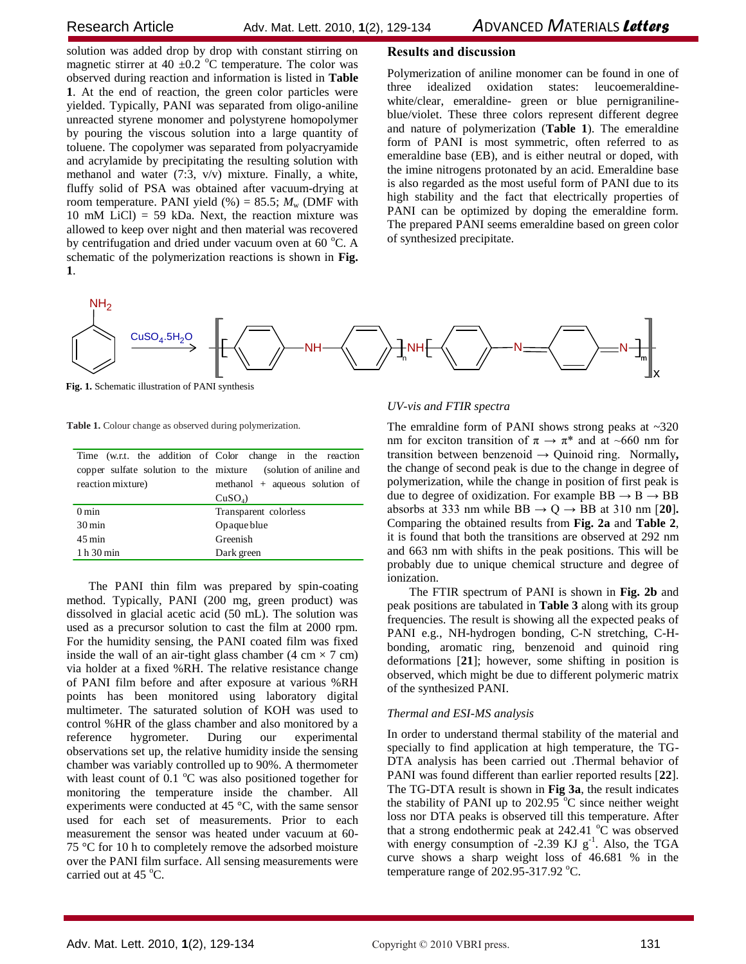solution was added drop by drop with constant stirring on magnetic stirrer at 40  $\pm$ 0.2 °C temperature. The color was observed during reaction and information is listed in **Table 1**. At the end of reaction, the green color particles were yielded. Typically, PANI was separated from oligo-aniline unreacted styrene monomer and polystyrene homopolymer by pouring the viscous solution into a large quantity of toluene. The copolymer was separated from polyacryamide and acrylamide by precipitating the resulting solution with methanol and water (7:3, v/v) mixture. Finally, a white, fluffy solid of PSA was obtained after vacuum-drying at room temperature. PANI yield  $(\%)$  = 85.5;  $M_{\text{w}}$  (DMF with 10 mM LiCl) = 59 kDa. Next, the reaction mixture was allowed to keep over night and then material was recovered by centrifugation and dried under vacuum oven at  $60^{\circ}$ C. A schematic of the polymerization reactions is shown in **Fig. 1**.

### **Results and discussion**

Polymerization of aniline monomer can be found in one of three idealized oxidation states: leucoemeraldinewhite/clear, emeraldine- green or blue pernigranilineblue/violet. These three colors represent different degree and nature of polymerization (**Table 1**). The emeraldine form of PANI is most symmetric, often referred to as emeraldine base (EB), and is either neutral or doped, with the imine nitrogens protonated by an acid. Emeraldine base is also regarded as the most useful form of PANI due to its high stability and the fact that electrically properties of PANI can be optimized by doping the emeraldine form. The prepared PANI seems emeraldine based on green color of synthesized precipitate.



**Fig. 1.** Schematic illustration of PANI synthesis

**Table 1.** Colour change as observed during polymerization.

|                                    | Time (w.r.t. the addition of Color change in the reaction       |  |  |
|------------------------------------|-----------------------------------------------------------------|--|--|
|                                    | copper sulfate solution to the mixture (solution of aniline and |  |  |
| reaction mixture)                  | methanol $+$ aqueous solution of                                |  |  |
|                                    | $CuSO4$ )                                                       |  |  |
| $0 \text{ min}$                    | Transparent colorless                                           |  |  |
| $30 \,\mathrm{min}$<br>Opaque blue |                                                                 |  |  |
| $45 \,\mathrm{min}$                | Greenish                                                        |  |  |
| 1 h 30 min                         | Dark green                                                      |  |  |

The PANI thin film was prepared by spin-coating method. Typically, PANI (200 mg, green product) was dissolved in glacial acetic acid (50 mL). The solution was used as a precursor solution to cast the film at 2000 rpm. For the humidity sensing, the PANI coated film was fixed inside the wall of an air-tight glass chamber (4 cm  $\times$  7 cm) via holder at a fixed %RH. The relative resistance change of PANI film before and after exposure at various %RH points has been monitored using laboratory digital multimeter. The saturated solution of KOH was used to control %HR of the glass chamber and also monitored by a reference hygrometer. During our experimental observations set up, the relative humidity inside the sensing chamber was variably controlled up to 90%. A thermometer with least count of 0.1  $\degree$ C was also positioned together for monitoring the temperature inside the chamber. All experiments were conducted at 45 °C, with the same sensor used for each set of measurements. Prior to each measurement the sensor was heated under vacuum at 60- 75 °C for 10 h to completely remove the adsorbed moisture over the PANI film surface. All sensing measurements were carried out at 45 $\degree$ C.

#### *UV-vis and FTIR spectra*

The emraldine form of PANI shows strong peaks at  $\sim 320$ nm for exciton transition of  $\pi \to \pi^*$  and at ~660 nm for transition between benzenoid → Quinoid ring.Normally**,**  the change of second peak is due to the change in degree of polymerization, while the change in position of first peak is due to degree of oxidization. For example  $BB \rightarrow B \rightarrow BB$ absorbs at 333 nm while  $BB \rightarrow Q \rightarrow BB$  at 310 nm [20]. Comparing the obtained results from **Fig. 2a** and **Table 2**, it is found that both the transitions are observed at 292 nm and 663 nm with shifts in the peak positions. This will be probably due to unique chemical structure and degree of ionization.

The FTIR spectrum of PANI is shown in **Fig. 2b** and peak positions are tabulated in **Table 3** along with its group frequencies. The result is showing all the expected peaks of PANI e.g., NH-hydrogen bonding, C-N stretching, C-Hbonding, aromatic ring, benzenoid and quinoid ring deformations [**21**]; however, some shifting in position is observed, which might be due to different polymeric matrix of the synthesized PANI.

#### *Thermal and ESI-MS analysis*

In order to understand thermal stability of the material and specially to find application at high temperature, the TG-DTA analysis has been carried out .Thermal behavior of PANI was found different than earlier reported results [**22**]. The TG-DTA result is shown in **Fig 3a**, the result indicates the stability of PANI up to 202.95  $\degree$ C since neither weight loss nor DTA peaks is observed till this temperature. After that a strong endothermic peak at  $242.41\text{ °C}$  was observed with energy consumption of -2.39 KJ  $g^{-1}$ . Also, the TGA curve shows a sharp weight loss of 46.681 % in the temperature range of  $202.95 - 317.92$  °C.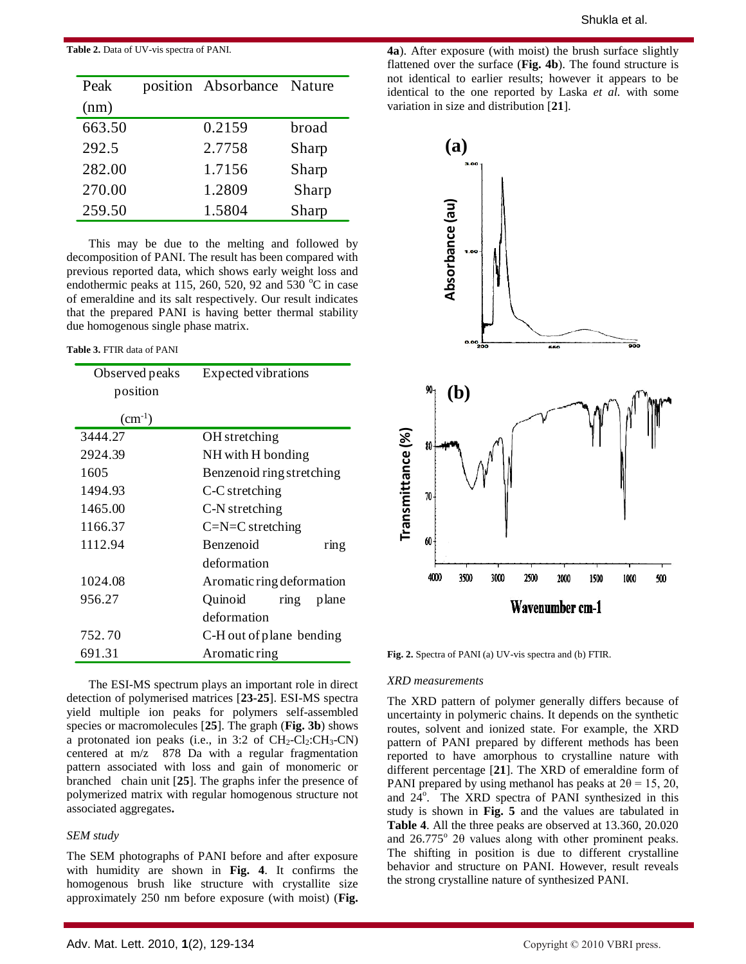#### **Table 2.** Data of UV-vis spectra of PANI.

| Peak   | position Absorbance Nature |       |
|--------|----------------------------|-------|
| (nm)   |                            |       |
| 663.50 | 0.2159                     | broad |
| 292.5  | 2.7758                     | Sharp |
| 282.00 | 1.7156                     | Sharp |
| 270.00 | 1.2809                     | Sharp |
| 259.50 | 1.5804                     | Sharp |

This may be due to the melting and followed by decomposition of PANI. The result has been compared with previous reported data, which shows early weight loss and endothermic peaks at 115, 260, 520, 92 and 530  $^{\circ}$ C in case of emeraldine and its salt respectively. Our result indicates that the prepared PANI is having better thermal stability due homogenous single phase matrix.

#### **Table 3.** FTIR data of PANI

| Observed peaks | Expected vibrations       |  |  |
|----------------|---------------------------|--|--|
| position       |                           |  |  |
| $(cm^{-1})$    |                           |  |  |
| 3444.27        | OH stretching             |  |  |
| 2924.39        | NH with H bonding         |  |  |
| 1605           | Benzenoid ring stretching |  |  |
| 1494.93        | C-C stretching            |  |  |
| 1465.00        | C-N stretching            |  |  |
| 1166.37        | $C=N=C$ stretching        |  |  |
| 1112.94        | <b>Benzenoid</b><br>ring  |  |  |
|                | deformation               |  |  |
| 1024.08        | Aromatic ring deformation |  |  |
| 956.27         | Quinoid<br>ring<br>plane  |  |  |
|                | deformation               |  |  |
| 752.70         | C-H out of plane bending  |  |  |
| 691.31         | Aromatic ring             |  |  |

The ESI-MS spectrum plays an important role in direct detection of polymerised matrices [**23-25**]. ESI-MS spectra yield multiple ion peaks for polymers self-assembled species or macromolecules [**25**]. The graph (**Fig. 3b**) shows a protonated ion peaks (i.e., in 3:2 of  $CH_2-Cl_2:CH_3-CN$ ) centered at m/z 878 Da with a regular fragmentation pattern associated with loss and gain of monomeric or branched chain unit [**25**]. The graphs infer the presence of polymerized matrix with regular homogenous structure not associated aggregates**.** 

#### *SEM study*

The SEM photographs of PANI before and after exposure with humidity are shown in **Fig. 4**. It confirms the homogenous brush like structure with crystallite size approximately 250 nm before exposure (with moist) (**Fig.** 

**4a**). After exposure (with moist) the brush surface slightly flattened over the surface (**Fig. 4b**). The found structure is not identical to earlier results; however it appears to be identical to the one reported by Laska *et al.* with some variation in size and distribution [**21**].



**Fig. 2.** Spectra of PANI (a) UV-vis spectra and (b) FTIR.

#### *XRD measurements*

The XRD pattern of polymer generally differs because of uncertainty in polymeric chains. It depends on the synthetic routes, solvent and ionized state. For example, the XRD pattern of PANI prepared by different methods has been reported to have amorphous to crystalline nature with different percentage [**21**]. The XRD of emeraldine form of PANI prepared by using methanol has peaks at  $2\theta = 15, 20,$ and 24<sup>o</sup>. The XRD spectra of PANI synthesized in this study is shown in **Fig. 5** and the values are tabulated in **Table 4**. All the three peaks are observed at 13.360, 20.020 and  $26.775^{\circ}$  20 values along with other prominent peaks. The shifting in position is due to different crystalline behavior and structure on PANI. However, result reveals the strong crystalline nature of synthesized PANI.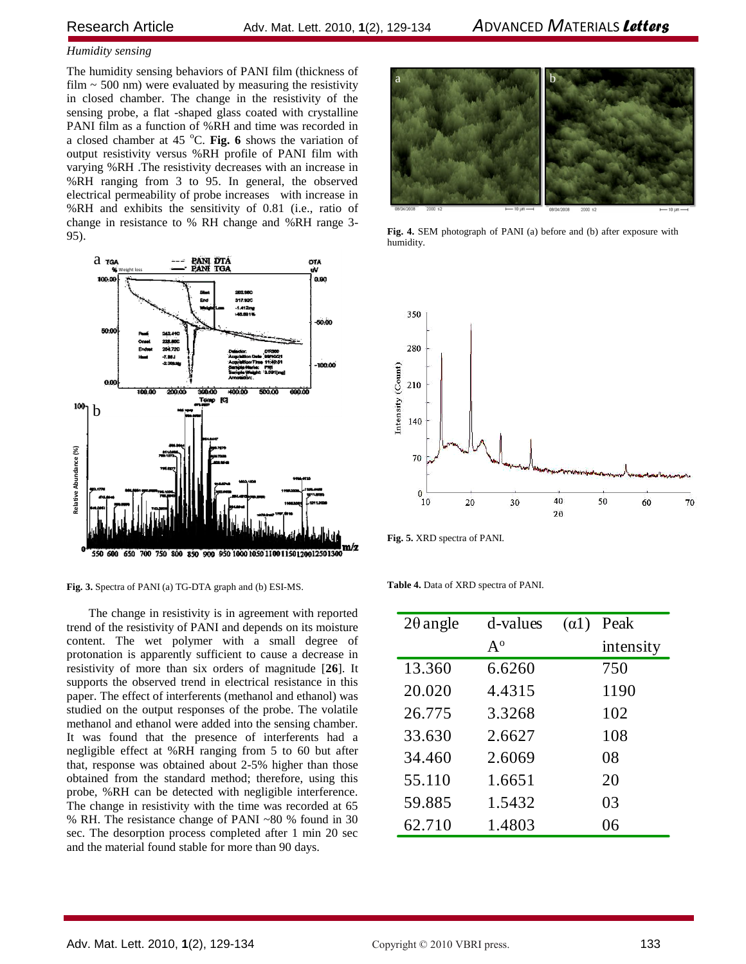#### *Humidity sensing*

The humidity sensing behaviors of PANI film (thickness of film  $\sim$  500 nm) were evaluated by measuring the resistivity in closed chamber. The change in the resistivity of the sensing probe, a flat -shaped glass coated with crystalline PANI film as a function of %RH and time was recorded in a closed chamber at 45 °C. Fig. 6 shows the variation of output resistivity versus %RH profile of PANI film with varying %RH .The resistivity decreases with an increase in %RH ranging from 3 to 95. In general, the observed electrical permeability of probe increases with increase in %RH and exhibits the sensitivity of 0.81 (i.e., ratio of change in resistance to % RH change and %RH range 3- 95).



**Fig. 3.** Spectra of PANI (a) TG-DTA graph and (b) ESI-MS.

The change in resistivity is in agreement with reported trend of the resistivity of PANI and depends on its moisture content. The wet polymer with a small degree of protonation is apparently sufficient to cause a decrease in resistivity of more than six orders of magnitude [**26**]. It supports the observed trend in electrical resistance in this paper. The effect of interferents (methanol and ethanol) was studied on the output responses of the probe. The volatile methanol and ethanol were added into the sensing chamber. It was found that the presence of interferents had a negligible effect at %RH ranging from 5 to 60 but after that, response was obtained about 2-5% higher than those obtained from the standard method; therefore, using this probe, %RH can be detected with negligible interference. The change in resistivity with the time was recorded at 65 % RH. The resistance change of PANI ~80 % found in 30 sec. The desorption process completed after 1 min 20 sec and the material found stable for more than 90 days.



**Fig. 4.** SEM photograph of PANI (a) before and (b) after exposure with humidity.



**Fig. 5.** XRD spectra of PANI.

**Table 4.** Data of XRD spectra of PANI.

| $2\theta$ angle | d-values       | $\alpha$ 1) | Peak      |
|-----------------|----------------|-------------|-----------|
|                 | $A^{\text{o}}$ |             | intensity |
| 13.360          | 6.6260         |             | 750       |
| 20.020          | 4.4315         |             | 1190      |
| 26.775          | 3.3268         |             | 102       |
| 33.630          | 2.6627         |             | 108       |
| 34.460          | 2.6069         |             | 08        |
| 55.110          | 1.6651         |             | 20        |
| 59.885          | 1.5432         |             | 03        |
| 62.710          | 1.4803         |             | 06        |